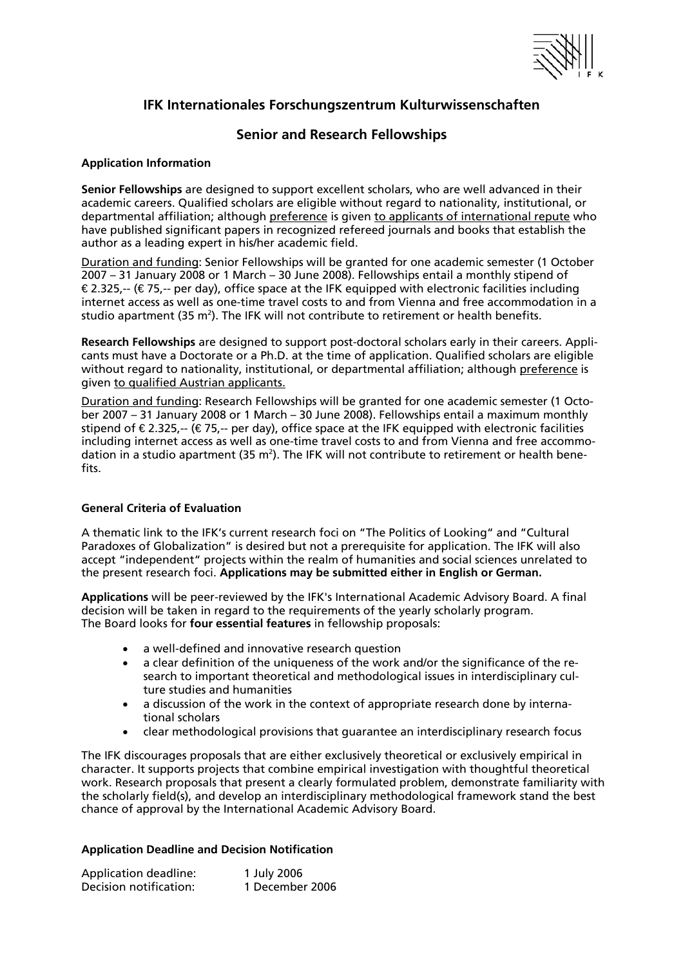

# **IFK Internationales Forschungszentrum Kulturwissenschaften**

# **Senior and Research Fellowships**

## **Application Information**

**Senior Fellowships** are designed to support excellent scholars, who are well advanced in their academic careers. Qualified scholars are eligible without regard to nationality, institutional, or departmental affiliation; although preference is given to applicants of international repute who have published significant papers in recognized refereed journals and books that establish the author as a leading expert in his/her academic field.

Duration and funding: Senior Fellowships will be granted for one academic semester (1 October 2007 – 31 January 2008 or 1 March – 30 June 2008). Fellowships entail a monthly stipend of  $\epsilon$ 2.325,-- ( $\epsilon$ 75,-- per day), office space at the IFK equipped with electronic facilities including internet access as well as one-time travel costs to and from Vienna and free accommodation in a studio apartment (35 m<sup>2</sup>). The IFK will not contribute to retirement or health benefits.

**Research Fellowships** are designed to support post-doctoral scholars early in their careers. Applicants must have a Doctorate or a Ph.D. at the time of application. Qualified scholars are eligible without regard to nationality, institutional, or departmental affiliation; although preference is given to qualified Austrian applicants.

Duration and funding: Research Fellowships will be granted for one academic semester (1 October 2007 – 31 January 2008 or 1 March – 30 June 2008). Fellowships entail a maximum monthly stipend of  $\in$  2.325,-- ( $\in$  75,-- per day), office space at the IFK equipped with electronic facilities including internet access as well as one-time travel costs to and from Vienna and free accommodation in a studio apartment (35 m<sup>2</sup>). The IFK will not contribute to retirement or health benefits.

## **General Criteria of Evaluation**

A thematic link to the IFK's current research foci on "The Politics of Looking" and "Cultural Paradoxes of Globalization" is desired but not a prerequisite for application. The IFK will also accept "independent" projects within the realm of humanities and social sciences unrelated to the present research foci. **Applications may be submitted either in English or German.**

**Applications** will be peer-reviewed by the IFK's International Academic Advisory Board. A final decision will be taken in regard to the requirements of the yearly scholarly program. The Board looks for **four essential features** in fellowship proposals:

- a well-defined and innovative research question
- a clear definition of the uniqueness of the work and/or the significance of the research to important theoretical and methodological issues in interdisciplinary culture studies and humanities
- a discussion of the work in the context of appropriate research done by international scholars
- clear methodological provisions that guarantee an interdisciplinary research focus

The IFK discourages proposals that are either exclusively theoretical or exclusively empirical in character. It supports projects that combine empirical investigation with thoughtful theoretical work. Research proposals that present a clearly formulated problem, demonstrate familiarity with the scholarly field(s), and develop an interdisciplinary methodological framework stand the best chance of approval by the International Academic Advisory Board.

## **Application Deadline and Decision Notification**

| <b>Application deadline:</b> | 1 July 2006     |
|------------------------------|-----------------|
| Decision notification:       | 1 December 2006 |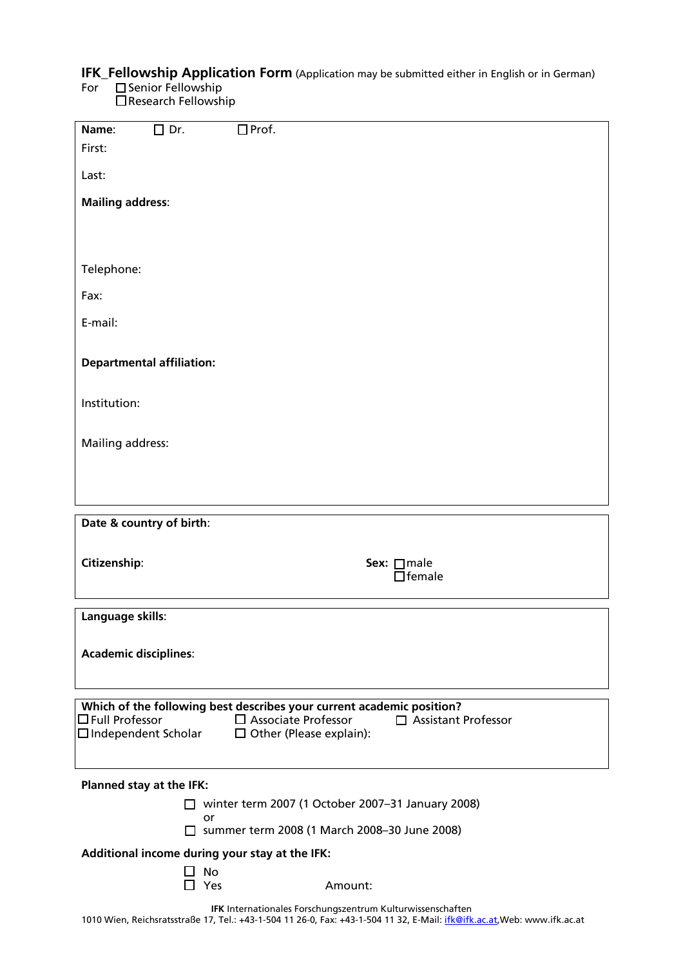# **IFK\_Fellowship Application Form** (Application may be submitted either in English or in German)

For **Senior Fellowship** 

| Name:                                               | $\square$ Dr. | $\Box$ Prof.                                                                                                                 |  |
|-----------------------------------------------------|---------------|------------------------------------------------------------------------------------------------------------------------------|--|
| First:                                              |               |                                                                                                                              |  |
|                                                     |               |                                                                                                                              |  |
| Last:                                               |               |                                                                                                                              |  |
| <b>Mailing address:</b>                             |               |                                                                                                                              |  |
|                                                     |               |                                                                                                                              |  |
|                                                     |               |                                                                                                                              |  |
|                                                     |               |                                                                                                                              |  |
| Telephone:                                          |               |                                                                                                                              |  |
|                                                     |               |                                                                                                                              |  |
| Fax:                                                |               |                                                                                                                              |  |
| E-mail:                                             |               |                                                                                                                              |  |
|                                                     |               |                                                                                                                              |  |
|                                                     |               |                                                                                                                              |  |
| <b>Departmental affiliation:</b>                    |               |                                                                                                                              |  |
|                                                     |               |                                                                                                                              |  |
| Institution:                                        |               |                                                                                                                              |  |
|                                                     |               |                                                                                                                              |  |
| Mailing address:                                    |               |                                                                                                                              |  |
|                                                     |               |                                                                                                                              |  |
|                                                     |               |                                                                                                                              |  |
|                                                     |               |                                                                                                                              |  |
|                                                     |               |                                                                                                                              |  |
|                                                     |               |                                                                                                                              |  |
| Date & country of birth:                            |               |                                                                                                                              |  |
|                                                     |               |                                                                                                                              |  |
| Citizenship:                                        |               | Sex: □male                                                                                                                   |  |
|                                                     |               | $\Box$ female                                                                                                                |  |
|                                                     |               |                                                                                                                              |  |
| Language skills:                                    |               |                                                                                                                              |  |
|                                                     |               |                                                                                                                              |  |
|                                                     |               |                                                                                                                              |  |
| <b>Academic disciplines:</b>                        |               |                                                                                                                              |  |
|                                                     |               |                                                                                                                              |  |
|                                                     |               |                                                                                                                              |  |
|                                                     |               | Which of the following best describes your current academic position?<br>$\Box$ Associate Professor<br>□ Assistant Professor |  |
| $\Box$ Full Professor<br>$\Box$ Independent Scholar |               | $\Box$ Other (Please explain):                                                                                               |  |
|                                                     |               |                                                                                                                              |  |
|                                                     |               |                                                                                                                              |  |
| Planned stay at the IFK:                            |               |                                                                                                                              |  |
|                                                     | $\mathsf{L}$  | winter term 2007 (1 October 2007-31 January 2008)                                                                            |  |
|                                                     |               | or                                                                                                                           |  |
|                                                     |               | □ summer term 2008 (1 March 2008-30 June 2008)                                                                               |  |
|                                                     |               | Additional income during your stay at the IFK:                                                                               |  |
|                                                     |               | No<br>Yes<br>Amount:                                                                                                         |  |

Research Fellowship

**IFK** Internationales Forschungszentrum Kulturwissenschaften 1010 Wien, Reichsratsstraße 17, Tel.: +43-1-504 11 26-0, Fax: +43-1-504 11 32, E-Mail: ifk@ifk.ac.at,Web: www.ifk.ac.at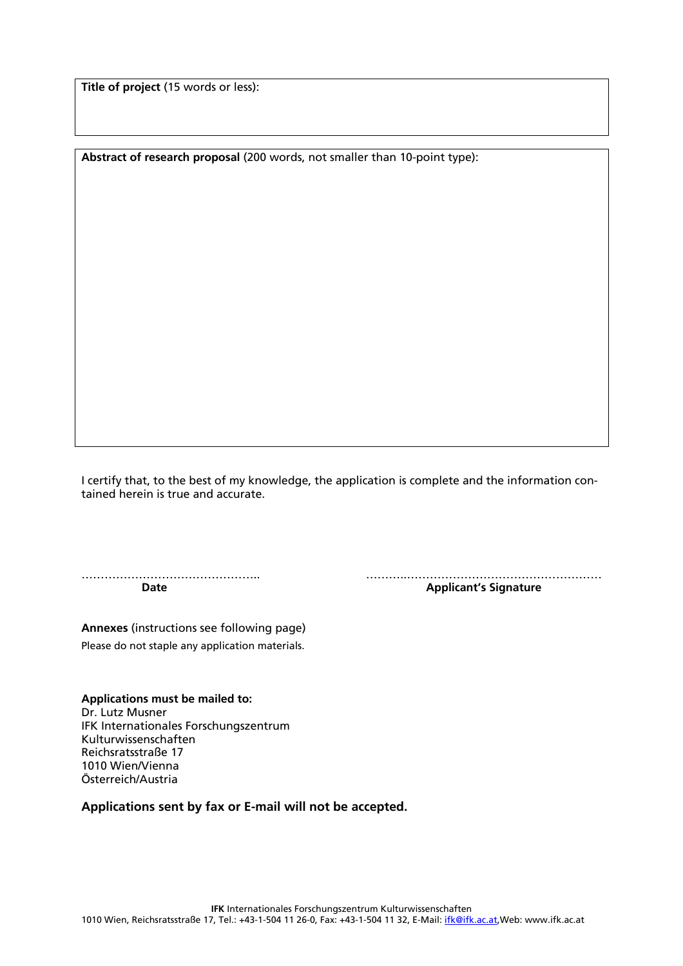**Title of project** (15 words or less):

**Abstract of research proposal** (200 words, not smaller than 10-point type):

I certify that, to the best of my knowledge, the application is complete and the information contained herein is true and accurate.

**Date Contract Applicant's** Signature

……………………………………….. ………..……………………………………………

**Annexes** (instructions see following page) Please do not staple any application materials.

**Applications must be mailed to:**  Dr. Lutz Musner IFK Internationales Forschungszentrum Kulturwissenschaften Reichsratsstraße 17 1010 Wien/Vienna Österreich/Austria

**Applications sent by fax or E-mail will not be accepted.**